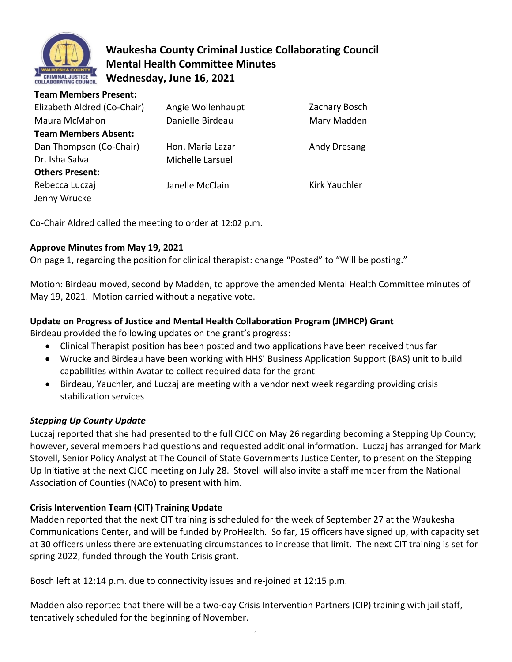

**Team Members Present:** 

# **Waukesha County Criminal Justice Collaborating Council Mental Health Committee Minutes Wednesday, June 16, 2021**

| Team Members Present:       |                   |                      |
|-----------------------------|-------------------|----------------------|
| Elizabeth Aldred (Co-Chair) | Angie Wollenhaupt | Zachary Bosch        |
| Maura McMahon               | Danielle Birdeau  | Mary Madden          |
| <b>Team Members Absent:</b> |                   |                      |
| Dan Thompson (Co-Chair)     | Hon. Maria Lazar  | Andy Dresang         |
| Dr. Isha Salva              | Michelle Larsuel  |                      |
| <b>Others Present:</b>      |                   |                      |
| Rebecca Luczaj              | Janelle McClain   | <b>Kirk Yauchler</b> |
| Jenny Wrucke                |                   |                      |

Co-Chair Aldred called the meeting to order at 12:02 p.m.

## **Approve Minutes from May 19, 2021**

On page 1, regarding the position for clinical therapist: change "Posted" to "Will be posting."

Motion: Birdeau moved, second by Madden, to approve the amended Mental Health Committee minutes of May 19, 2021. Motion carried without a negative vote.

## **Update on Progress of Justice and Mental Health Collaboration Program (JMHCP) Grant**

Birdeau provided the following updates on the grant's progress:

- Clinical Therapist position has been posted and two applications have been received thus far
- Wrucke and Birdeau have been working with HHS' Business Application Support (BAS) unit to build capabilities within Avatar to collect required data for the grant
- Birdeau, Yauchler, and Luczaj are meeting with a vendor next week regarding providing crisis stabilization services

## *Stepping Up County Update*

Luczaj reported that she had presented to the full CJCC on May 26 regarding becoming a Stepping Up County; however, several members had questions and requested additional information. Luczaj has arranged for Mark Stovell, Senior Policy Analyst at The Council of State Governments Justice Center, to present on the Stepping Up Initiative at the next CJCC meeting on July 28. Stovell will also invite a staff member from the National Association of Counties (NACo) to present with him.

### **Crisis Intervention Team (CIT) Training Update**

Madden reported that the next CIT training is scheduled for the week of September 27 at the Waukesha Communications Center, and will be funded by ProHealth. So far, 15 officers have signed up, with capacity set at 30 officers unless there are extenuating circumstances to increase that limit. The next CIT training is set for spring 2022, funded through the Youth Crisis grant.

Bosch left at 12:14 p.m. due to connectivity issues and re-joined at 12:15 p.m.

Madden also reported that there will be a two-day Crisis Intervention Partners (CIP) training with jail staff, tentatively scheduled for the beginning of November.